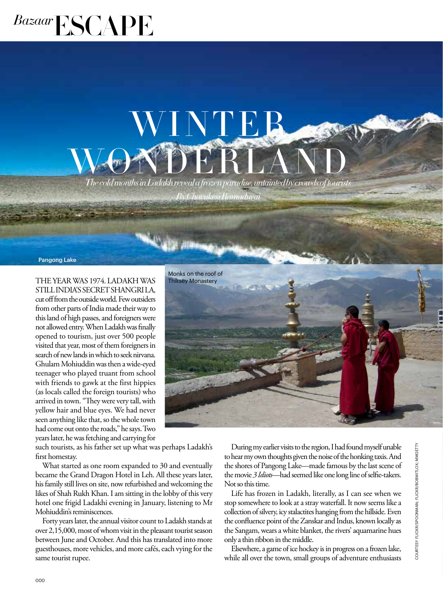## *Bazaar*ESCAPE

## $\mathbf{W}$  **F**  $\mathbf{M}$   $\mathbf{D}$   $\mathbf{F}$   $\mathbf{R}$   $\mathbf{L}$   $\mathbf{A}$   $\mathbf{N}$   $\mathbf{D}$  *The cold months in Ladakh reveal a frozen paradise, untainted by crowds of tourists* W NTE

*By Charukesi Ramadurai*

Pangong Lake

THE YEAR WAS 1974. LADAKH WAS STILL INDIA'S SECRET SHANGRI LA, cut off from the outside world. Few outsiders from other parts of India made their way to this land of high passes, and foreigners were not allowed entry. When Ladakh was finally opened to tourism, just over 500 people visited that year, most of them foreigners in search of new lands in which to seek nirvana. Ghulam Mohiuddin was then a wide-eyed teenager who played truant from school with friends to gawk at the first hippies (as locals called the foreign tourists) who arrived in town. "They were very tall, with yellow hair and blue eyes. We had never seen anything like that, so the whole town had come out onto the roads," he says. Two years later, he was fetching and carrying for

such tourists, as his father set up what was perhaps Ladakh's first homestay.

What started as one room expanded to 30 and eventually became the Grand Dragon Hotel in Leh. All these years later, his family still lives on site, now refurbished and welcoming the likes of Shah Rukh Khan. I am sitting in the lobby of this very hotel one frigid Ladakhi evening in January, listening to Mr Mohiuddin's reminiscences.

Forty years later, the annual visitor count to Ladakh stands at over 2,15,000, most of whom visit in the pleasant tourist season between June and October. And this has translated into more guesthouses, more vehicles, and more cafés, each vying for the same tourist rupee.



During my earlier visits to the region, I had found myself unable to hear my own thoughts given the noise of the honking taxis. And the shores of Pangong Lake—made famous by the last scene of the movie *3 Idiots*—had seemed like one long line of selfie-takers. Not so this time.

Life has frozen in Ladakh, literally, as I can see when we stop somewhere to look at a stray waterfall. It now seems like a collection of silvery, icy stalactites hanging from the hillside. Even the confluence point of the Zanskar and Indus, known locally as the Sangam, wears a white blanket, the rivers' aquamarine hues only a thin ribbon in the middle.

Elsewhere, a game of ice hockey is in progress on a frozen lake, while all over the town, small groups of adventure enthusiasts